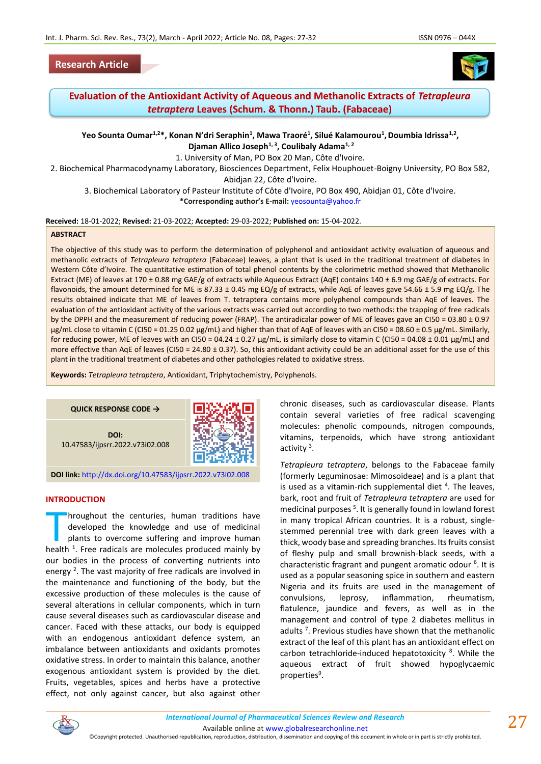## **Research Article**



# **Evaluation of the Antioxidant Activity of Aqueous and Methanolic Extracts of** *Tetrapleura tetraptera* **Leaves (Schum. & Thonn.) Taub. (Fabaceae)**

**Yeo Sounta Oumar1,2\*, Konan N'dri Seraphin<sup>1</sup> , Mawa Traoré<sup>1</sup> , Silué Kalamourou<sup>1</sup> ,Doumbia Idrissa1,2 , Djaman Allico Joseph1, 3 , Coulibaly Adama1, 2**

1. University of Man, PO Box 20 Man, Côte d'Ivoire.

2. Biochemical Pharmacodynamy Laboratory, Biosciences Department, Felix Houphouet-Boigny University, PO Box 582,

Abidjan 22, Côte d'Ivoire.

3. Biochemical Laboratory of Pasteur Institute of Côte d'Ivoire, PO Box 490, Abidjan 01, Côte d'Ivoire.

**\*Corresponding author's E-mail:** [yeosounta@yahoo.fr](mailto:yeosounta@yahoo.fr)

**Received:** 18-01-2022; **Revised:** 21-03-2022; **Accepted:** 29-03-2022; **Published on:** 15-04-2022.

#### **ABSTRACT**

The objective of this study was to perform the determination of polyphenol and antioxidant activity evaluation of aqueous and methanolic extracts of *Tetrapleura tetraptera* (Fabaceae) leaves, a plant that is used in the traditional treatment of diabetes in Western Côte d'Ivoire. The quantitative estimation of total phenol contents by the colorimetric method showed that Methanolic Extract (ME) of leaves at 170 ± 0.88 mg GAE/g of extracts while Aqueous Extract (AqE) contains 140 ± 6.9 mg GAE/g of extracts. For flavonoids, the amount determined for ME is 87.33 ± 0.45 mg EQ/g of extracts, while AqE of leaves gave 54.66 ± 5.9 mg EQ/g. The results obtained indicate that ME of leaves from T. tetraptera contains more polyphenol compounds than AqE of leaves. The evaluation of the antioxidant activity of the various extracts was carried out according to two methods: the trapping of free radicals by the DPPH and the measurement of reducing power (FRAP). The antiradicalar power of ME of leaves gave an CI50 = 03.80 ± 0.97 μg/mL close to vitamin C (CI50 = 01.25 0.02 μg/mL) and higher than that of AqE of leaves with an CI50 = 08.60 ± 0.5 μg/mL. Similarly, for reducing power, ME of leaves with an CI50 = 04.24 ± 0.27 μg/mL, is similarly close to vitamin C (CI50 = 04.08 ± 0.01 μg/mL) and more effective than AqE of leaves (CI50 = 24.80  $\pm$  0.37). So, this antioxidant activity could be an additional asset for the use of this plant in the traditional treatment of diabetes and other pathologies related to oxidative stress.

**Keywords:** *Tetrapleura tetraptera*, Antioxidant, Triphytochemistry, Polyphenols.

## **QUICK RESPONSE CODE →**

**DOI:** 10.47583/ijpsrr.2022.v73i02.008



**DOI link:** <http://dx.doi.org/10.47583/ijpsrr.2022.v73i02.008>

#### **INTRODUCTION**

hroughout the centuries, human traditions have developed the knowledge and use of medicinal plants to overcome suffering and improve human hroughout the centuries, human traditions have<br>developed the knowledge and use of medicinal<br>plants to overcome suffering and improve human<br>health<sup>1</sup>. Free radicals are molecules produced mainly by our bodies in the process of converting nutrients into energy<sup>2</sup>. The vast majority of free radicals are involved in the maintenance and functioning of the body, but the excessive production of these molecules is the cause of several alterations in cellular components, which in turn cause several diseases such as cardiovascular disease and cancer. Faced with these attacks, our body is equipped with an endogenous antioxidant defence system, an imbalance between antioxidants and oxidants promotes oxidative stress. In order to maintain this balance, another exogenous antioxidant system is provided by the diet. Fruits, vegetables, spices and herbs have a protective effect, not only against cancer, but also against other chronic diseases, such as cardiovascular disease. Plants contain several varieties of free radical scavenging molecules: phenolic compounds, nitrogen compounds, vitamins, terpenoids, which have strong antioxidant activity<sup>3</sup>.

*Tetrapleura tetraptera*, belongs to the Fabaceae family (formerly Leguminosae: Mimosoideae) and is a plant that is used as a vitamin-rich supplemental diet  $4$ . The leaves, bark, root and fruit of *Tetrapleura tetraptera* are used for medicinal purposes<sup>5</sup>. It is generally found in lowland forest in many tropical African countries. It is a robust, singlestemmed perennial tree with dark green leaves with a thick, woody base and spreading branches. Its fruits consist of fleshy pulp and small brownish-black seeds, with a characteristic fragrant and pungent aromatic odour <sup>6</sup>. It is used as a popular seasoning spice in southern and eastern Nigeria and its fruits are used in the management of convulsions, leprosy, inflammation, rheumatism, flatulence, jaundice and fevers, as well as in the management and control of type 2 diabetes mellitus in adults<sup>7</sup>. Previous studies have shown that the methanolic extract of the leaf of this plant has an antioxidant effect on carbon tetrachloride-induced hepatotoxicity <sup>8</sup>. While the aqueous extract of fruit showed hypoglycaemic properties<sup>9</sup>.



Available online a[t www.globalresearchonline.net](http://www.globalresearchonline.net/)

©Copyright protected. Unauthorised republication, reproduction, distribution, dissemination and copying of this document in whole or in part is strictly prohibited.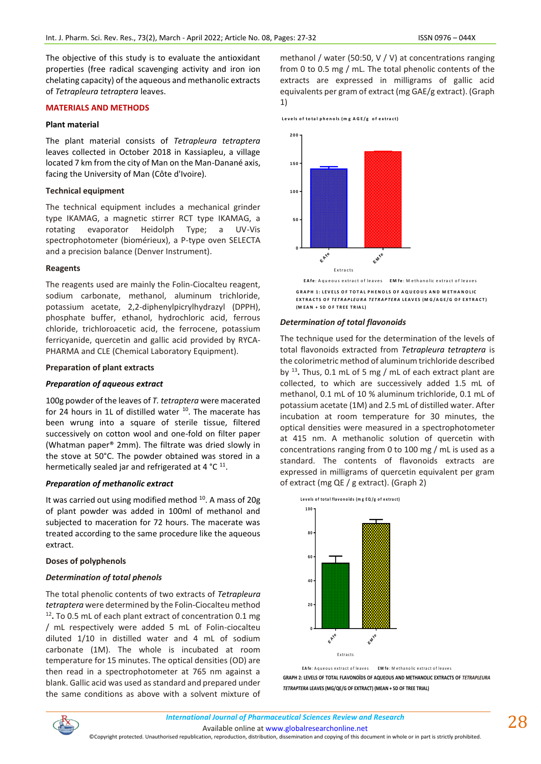The objective of this study is to evaluate the antioxidant properties (free radical scavenging activity and iron ion chelating capacity) of the aqueous and methanolic extracts of *Tetrapleura tetraptera* leaves.

#### **MATERIALS AND METHODS**

### **Plant material**

The plant material consists of *Tetrapleura tetraptera* leaves collected in October 2018 in Kassiapleu, a village located 7 km from the city of Man on the Man-Danané axis, facing the University of Man (Côte d'Ivoire).

### **Technical equipment**

The technical equipment includes a mechanical grinder type IKAMAG, a magnetic stirrer RCT type IKAMAG, a rotating evaporator Heidolph Type; a UV-Vis spectrophotometer (biomérieux), a P-type oven SELECTA and a precision balance (Denver Instrument).

### **Reagents**

The reagents used are mainly the Folin-Ciocalteu reagent, sodium carbonate, methanol, aluminum trichloride, potassium acetate, 2,2-diphenylpicrylhydrazyl (DPPH), phosphate buffer, ethanol, hydrochloric acid, ferrous chloride, trichloroacetic acid, the ferrocene, potassium ferricyanide, quercetin and gallic acid provided by RYCA-PHARMA and CLE (Chemical Laboratory Equipment).

### **Preparation of plant extracts**

### *Preparation of aqueous extract*

100g powder of the leaves of *T. tetraptera* were macerated for 24 hours in 1L of distilled water <sup>10</sup>. The macerate has been wrung into a square of sterile tissue, filtered successively on cotton wool and one-fold on filter paper (Whatman paper® 2mm). The filtrate was dried slowly in the stove at 50°C. The powder obtained was stored in a hermetically sealed jar and refrigerated at 4  $^{\circ}$ C  $^{11}$ .

# *Preparation of methanolic extract*

It was carried out using modified method <sup>10</sup>. A mass of 20g of plant powder was added in 100ml of methanol and subjected to maceration for 72 hours. The macerate was treated according to the same procedure like the aqueous extract.

### **Doses of polyphenols**

### *Determination of total phenols*

The total phenolic contents of two extracts of *Tetrapleura tetraptera* were determined by the Folin-Ciocalteu method 12 **.** To 0.5 mL of each plant extract of concentration 0.1 mg / mL respectively were added 5 mL of Folin-ciocalteu diluted 1/10 in distilled water and 4 mL of sodium carbonate (1M). The whole is incubated at room temperature for 15 minutes. The optical densities (OD) are then read in a spectrophotometer at 765 nm against a blank. Gallic acid was used as standard and prepared under the same conditions as above with a solvent mixture of

methanol / water (50:50, V / V) at concentrations ranging from 0 to 0.5 mg / mL. The total phenolic contents of the extracts are expressed in milligrams of gallic acid equivalents per gram of extract (mg GAE/g extract). (Graph 1)

Levels of total phenols (mg AGE/g of extract)



#### *Determination of total flavonoids*

The technique used for the determination of the levels of total flavonoids extracted from *Tetrapleura tetraptera* is the colorimetric method of aluminum trichloride described by <sup>13</sup> **.** Thus, 0.1 mL of 5 mg / mL of each extract plant are collected, to which are successively added 1.5 mL of methanol, 0.1 mL of 10 % aluminum trichloride, 0.1 mL of potassium acetate (1M) and 2.5 mL of distilled water. After incubation at room temperature for 30 minutes, the optical densities were measured in a spectrophotometer at 415 nm. A methanolic solution of quercetin with concentrations ranging from 0 to 100 mg / mL is used as a standard. The contents of flavonoids extracts are expressed in milligrams of quercetin equivalent per gram of extract (mg QE / g extract). (Graph 2)



**GRAPH 2: LEVELS OF TOTAL FLAVONOÏDS OF AQUEOUS AND METHANOLIC EXTRACTS OF** *TETRAPLEURA TETRAPTERA* **LEAVES (MG/QE/G OF EXTRACT) (MEAN + SD OF TREE TRIAL)**



Available online a[t www.globalresearchonline.net](http://www.globalresearchonline.net/)

©Copyright protected. Unauthorised republication, reproduction, distribution, dissemination and copying of this document in whole or in part is strictly prohibited.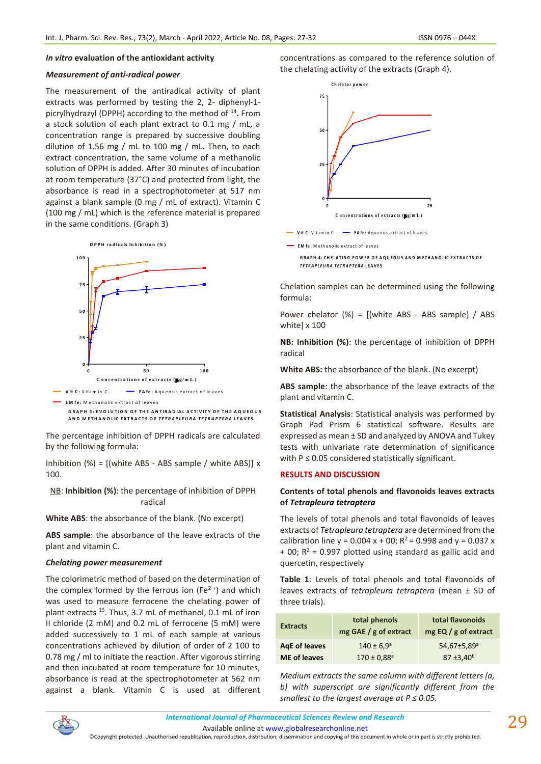#### *In vitro* **evaluation of the antioxidant activity**

# *Measurement of anti-radical power*

The measurement of the antiradical activity of plant extracts was performed by testing the 2, 2- diphenyl-1 picrylhydrazyl (DPPH) according to the method of <sup>14</sup> **.** From a stock solution of each plant extract to 0.1 mg / mL, a concentration range is prepared by successive doubling dilution of 1.56 mg / mL to 100 mg / mL. Then, to each extract concentration, the same volume of a methanolic solution of DPPH is added. After 30 minutes of incubation at room temperature (37°C) and protected from light, the absorbance is read in a spectrophotometer at 517 nm against a blank sample (0 mg / mL of extract). Vitamin C (100 mg / mL) which is the reference material is prepared in the same conditions. (Graph 3)

**D P P H ra d ic a ls In h ib itio n (% )**



The percentage inhibition of DPPH radicals are calculated by the following formula:

Inhibition (%) = [(white ABS - ABS sample / white ABS)] x 100.

NB: **Inhibition (%)**: the percentage of inhibition of DPPH radical

**White ABS**: the absorbance of the blank. (No excerpt)

**ABS sample**: the absorbance of the leave extracts of the plant and vitamin C.

#### *Chelating power measurement*

The colorimetric method of based on the determination of the complex formed by the ferrous ion (Fe<sup>2+</sup>) and which was used to measure ferrocene the chelating power of plant extracts <sup>15</sup>. Thus, 3.7 mL of methanol, 0.1 mL of iron II chloride (2 mM) and 0.2 mL of ferrocene (5 mM) were added successively to 1 mL of each sample at various concentrations achieved by dilution of order of 2 100 to 0.78 mg / ml to initiate the reaction. After vigorous stirring and then incubated at room temperature for 10 minutes, absorbance is read at the spectrophotometer at 562 nm against a blank. Vitamin C is used at different concentrations as compared to the reference solution of the chelating activity of the extracts (Graph 4).



**EM** fe: M ethanolic extract of leaves **GRAPH 4: CHELATING POWER OF AQUEOUS AND METHANOLIC EXTRACTS OF** *T E T R A P LE U R A TE T R A P TE R A* **L E A V E S**

Chelation samples can be determined using the following formula:

Power chelator (%) = [(white ABS - ABS sample) / ABS white] x 100

**NB: Inhibition (%)**: the percentage of inhibition of DPPH radical

**White ABS:** the absorbance of the blank. (No excerpt)

**ABS sample**: the absorbance of the leave extracts of the plant and vitamin C.

**Statistical Analysis**: Statistical analysis was performed by Graph Pad Prism 6 statistical software. Results are expressed as mean ± SD and analyzed by ANOVA and Tukey tests with univariate rate determination of significance with  $P \le 0.05$  considered statistically significant.

#### **RESULTS AND DISCUSSION**

### **Contents of total phenols and flavonoids leaves extracts of** *Tetrapleura tetraptera*

The levels of total phenols and total flavonoids of leaves extracts of *Tetrapleura tetraptera* are determined from the calibration line  $y = 0.004 x + 00$ ;  $R^2 = 0.998$  and  $y = 0.037 x$  $+$  00; R<sup>2</sup> = 0.997 plotted using standard as gallic acid and quercetin, respectively

**Table 1**: Levels of total phenols and total flavonoids of leaves extracts of *tetrapleura tetraptera* (mean ± SD of three trials).

| $mg$ GAE / g of extract<br>mg $EQ / g$ of extract                                 |
|-----------------------------------------------------------------------------------|
| AgE of leaves<br>54,67±5,89 <sup>a</sup><br>$140 \pm 6.9^{\circ}$<br>$87 + 3,40b$ |
| <b>ME</b> of leaves<br>$170 \pm 0.88$ <sup>a</sup>                                |

*Medium extracts the same column with different letters (a, b) with superscript are significantly different from the smallest to the largest average at P ≤ 0.05.*



Available online a[t www.globalresearchonline.net](http://www.globalresearchonline.net/)

©Copyright protected. Unauthorised republication, reproduction, distribution, dissemination and copying of this document in whole or in part is strictly prohibited.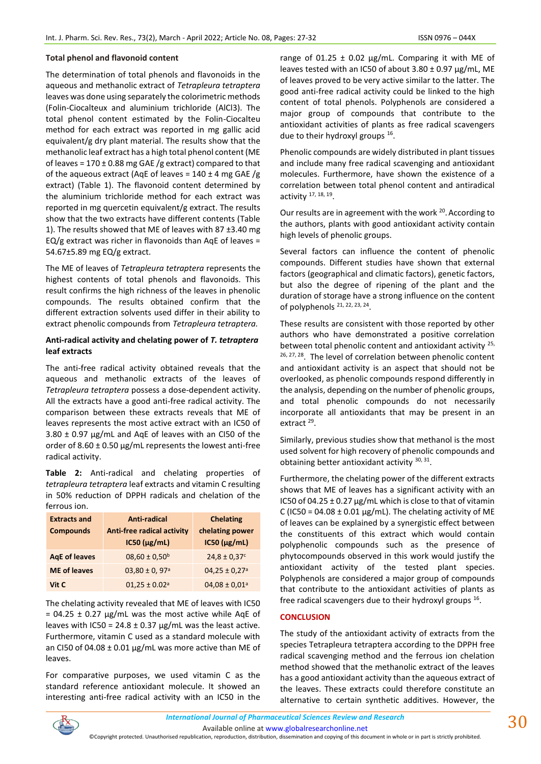### **Total phenol and flavonoid content**

The determination of total phenols and flavonoids in the aqueous and methanolic extract of *Tetrapleura tetraptera* leaves was done using separately the colorimetric methods (Folin-Ciocalteux and aluminium trichloride (AlCl3). The total phenol content estimated by the Folin-Ciocalteu method for each extract was reported in mg gallic acid equivalent/g dry plant material. The results show that the methanolic leaf extract has a high total phenol content (ME of leaves =  $170 \pm 0.88$  mg GAE /g extract) compared to that of the aqueous extract (AqE of leaves =  $140 \pm 4$  mg GAE /g extract) (Table 1). The flavonoid content determined by the aluminium trichloride method for each extract was reported in mg quercetin equivalent/g extract. The results show that the two extracts have different contents (Table 1). The results showed that ME of leaves with 87 ±3.40 mg  $EQ/g$  extract was richer in flavonoids than AqE of leaves = 54.67±5.89 mg EQ/g extract.

The ME of leaves of *Tetrapleura tetraptera* represents the highest contents of total phenols and flavonoids. This result confirms the high richness of the leaves in phenolic compounds. The results obtained confirm that the different extraction solvents used differ in their ability to extract phenolic compounds from *Tetrapleura tetraptera.*

### **Anti-radical activity and chelating power of** *T. tetraptera* **leaf extracts**

The anti-free radical activity obtained reveals that the aqueous and methanolic extracts of the leaves of *Tetrapleura tetraptera* possess a dose-dependent activity. All the extracts have a good anti-free radical activity. The comparison between these extracts reveals that ME of leaves represents the most active extract with an IC50 of 3.80 ± 0.97 µg/mL and AqE of leaves with an CI50 of the order of 8.60 ± 0.50 µg/mL represents the lowest anti-free radical activity.

**Table 2:** Anti-radical and chelating properties of *tetrapleura tetraptera* leaf extracts and vitamin C resulting in 50% reduction of DPPH radicals and chelation of the ferrous ion.

| <b>Extracts and</b><br><b>Compounds</b> | Anti-radical<br><b>Anti-free radical activity</b><br>$IC50$ ( $\mu$ g/mL) | <b>Chelating</b><br>chelating power<br>$IC50$ ( $\mu$ g/mL) |
|-----------------------------------------|---------------------------------------------------------------------------|-------------------------------------------------------------|
| <b>AgE of leaves</b>                    | $08,60 \pm 0,50$ <sup>b</sup>                                             | $24.8 \pm 0.37$ <sup>c</sup>                                |
| <b>ME</b> of leaves                     | $03,80 \pm 0,97$ <sup>a</sup>                                             | $04,25 \pm 0.27$ <sup>a</sup>                               |
| Vit C                                   | $01,25 \pm 0.02$ <sup>a</sup>                                             | $04,08 \pm 0,01$ <sup>a</sup>                               |

The chelating activity revealed that ME of leaves with IC50  $= 04.25 \pm 0.27$  μg/mL was the most active while AqE of leaves with IC50 = 24.8  $\pm$  0.37  $\mu$ g/mL was the least active. Furthermore, vitamin C used as a standard molecule with an CI50 of 04.08 ± 0.01 μg/mL was more active than ME of leaves.

For comparative purposes, we used vitamin C as the standard reference antioxidant molecule. It showed an interesting anti-free radical activity with an IC50 in the range of 01.25  $\pm$  0.02 µg/mL. Comparing it with ME of leaves tested with an IC50 of about 3.80 ± 0.97 µg/mL, ME of leaves proved to be very active similar to the latter. The good anti-free radical activity could be linked to the high content of total phenols. Polyphenols are considered a major group of compounds that contribute to the antioxidant activities of plants as free radical scavengers due to their hydroxyl groups <sup>16</sup>.

Phenolic compounds are widely distributed in plant tissues and include many free radical scavenging and antioxidant molecules. Furthermore, have shown the existence of a correlation between total phenol content and antiradical activity <sup>17, 18, 19</sup>.

Our results are in agreement with the work <sup>20</sup>. According to the authors, plants with good antioxidant activity contain high levels of phenolic groups.

Several factors can influence the content of phenolic compounds. Different studies have shown that external factors (geographical and climatic factors), genetic factors, but also the degree of ripening of the plant and the duration of storage have a strong influence on the content of polyphenols <sup>21, 22, 23, 24</sup>.

These results are consistent with those reported by other authors who have demonstrated a positive correlation between total phenolic content and antioxidant activity <sup>25,</sup> <sup>26, 27, 28</sup>. The level of correlation between phenolic content and antioxidant activity is an aspect that should not be overlooked, as phenolic compounds respond differently in the analysis, depending on the number of phenolic groups, and total phenolic compounds do not necessarily incorporate all antioxidants that may be present in an extract<sup>29</sup>.

Similarly, previous studies show that methanol is the most used solvent for high recovery of phenolic compounds and obtaining better antioxidant activity 30, 31.

Furthermore, the chelating power of the different extracts shows that ME of leaves has a significant activity with an IC50 of 04.25  $\pm$  0.27 µg/mL which is close to that of vitamin C (IC50 = 04.08  $\pm$  0.01 µg/mL). The chelating activity of ME of leaves can be explained by a synergistic effect between the constituents of this extract which would contain polyphenolic compounds such as the presence of phytocompounds observed in this work would justify the antioxidant activity of the tested plant species. Polyphenols are considered a major group of compounds that contribute to the antioxidant activities of plants as free radical scavengers due to their hydroxyl groups  $^{16}$ .

### **CONCLUSION**

The study of the antioxidant activity of extracts from the species Tetrapleura tetraptera according to the DPPH free radical scavenging method and the ferrous ion chelation method showed that the methanolic extract of the leaves has a good antioxidant activity than the aqueous extract of the leaves. These extracts could therefore constitute an alternative to certain synthetic additives. However, the

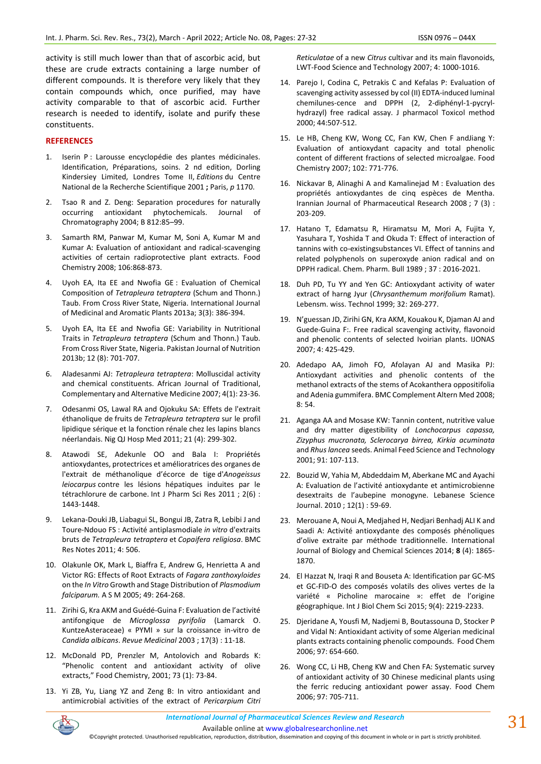activity is still much lower than that of ascorbic acid, but these are crude extracts containing a large number of different compounds. It is therefore very likely that they contain compounds which, once purified, may have activity comparable to that of ascorbic acid. Further research is needed to identify, isolate and purify these constituents.

### **REFERENCES**

- 1. Iserin P : Larousse encyclopédie des plantes médicinales. Identification, Préparations, soins. 2 nd edition, Dorling Kindersiey Limited, Londres Tome II, *Editions* du Centre National de la Recherche Scientifique 2001 **;** Paris, *p* 1170.
- 2. Tsao R and Z. Deng: Separation procedures for naturally occurring antioxidant phytochemicals. Journal of Chromatography 2004; B 812:85–99.
- 3. Samarth RM, Panwar M, Kumar M, Soni A, Kumar M and Kumar A: Evaluation of antioxidant and radical-scavenging activities of certain radioprotective plant extracts. Food Chemistry 2008; 106:868-873.
- 4. Uyoh EA, Ita EE and Nwofia GE : Evaluation of Chemical Composition of *Tetrapleura tetraptera* (Schum and Thonn.) Taub. From Cross River State, Nigeria. International Journal of Medicinal and Aromatic Plants 2013a; 3(3): 386-394.
- 5. Uyoh EA, Ita EE and Nwofia GE: Variability in Nutritional Traits in *Tetrapleura tetraptera* (Schum and Thonn.) Taub. From Cross River State, Nigeria. Pakistan Journal of Nutrition 2013b; 12 (8): 701-707.
- 6. Aladesanmi AJ: *Tetrapleura tetraptera*: Molluscidal activity and chemical constituents. African Journal of Traditional, Complementary and Alternative Medicine 2007; 4(1): 23-36.
- 7. Odesanmi OS, Lawal RA and Ojokuku SA: Effets de l'extrait éthanolique de fruits de *Tetrapleura tetraptera* sur le profil lipidique sérique et la fonction rénale chez les lapins blancs néerlandais. Nig QJ Hosp Med 2011; 21 (4): 299-302.
- 8. Atawodi SE, Adekunle OO and Bala I: Propriétés antioxydantes, protectrices et amélioratrices des organes de l'extrait de méthanolique d'écorce de tige d'*Anogeissus leiocarpus* contre les lésions hépatiques induites par le tétrachlorure de carbone. Int J Pharm Sci Res 2011 ; 2(6) : 1443-1448.
- 9. Lekana-Douki JB, Liabagui SL, Bongui JB, Zatra R, Lebibi J and Toure-Ndouo FS : Activité antiplasmodiale *in vitro* d'extraits bruts de *Tetrapleura tetraptera* et *Copaifera religiosa*. BMC Res Notes 2011; 4: 506.
- 10. Olakunle OK, Mark L, Biaffra E, Andrew G, Henrietta A and Victor RG: Effects of Root Extracts of *Fagara zanthoxyloides*  on the *In Vitro* Growth and Stage Distribution of *Plasmodium falciparum.* A S M 2005; 49: 264-268.
- 11. Zirihi G, Kra AKM and Guédé-Guina F: Evaluation de l'activité antifongique de *Microglossa pyrifolia* (Lamarck O. KuntzeAsteraceae) « PYMI » sur la croissance in-vitro de *Candida albicans*. *Revue Medicinal* 2003 ; 17(3) : 11-18.
- 12. McDonald PD, Prenzler M, Antolovich and Robards K: "Phenolic content and antioxidant activity of olive extracts," Food Chemistry, 2001; 73 (1): 73-84.
- 13. Yi ZB, Yu, Liang YZ and Zeng B: In vitro antioxidant and antimicrobial activities of the extract of *Pericarpium Citri*

*Reticulatae* of a new *Citrus* cultivar and its main flavonoids, LWT-Food Science and Technology 2007; 4: 1000-1016.

- 14. Parejo I, Codina C, Petrakis C and Kefalas P: Evaluation of scavenging activity assessed by col (II) EDTA-induced luminal chemilunes-cence and DPPH (2, 2-diphényl-1-pycrylhydrazyl) free radical assay. J pharmacol Toxicol method 2000; 44:507-512.
- 15. Le HB, Cheng KW, Wong CC, Fan KW, Chen F andJiang Y: Evaluation of antioxydant capacity and total phenolic content of different fractions of selected microalgae. Food Chemistry 2007; 102: 771-776.
- 16. Nickavar B, Alinaghi A and Kamalinejad M : Evaluation des propriétés antioxydantes de cinq espèces de Mentha. Irannian Journal of Pharmaceutical Research 2008 ; 7 (3) : 203-209.
- 17. Hatano T, Edamatsu R, Hiramatsu M, Mori A, Fujita Y, Yasuhara T, Yoshida T and Okuda T: Effect of interaction of tannins with co-existingsubstances VI. Effect of tannins and related polyphenols on superoxyde anion radical and on DPPH radical. Chem. Pharm. Bull 1989 ; 37 : 2016-2021.
- 18. Duh PD, Tu YY and Yen GC: Antioxydant activity of water extract of harng Jyur (*Chrysanthemum morifolium* Ramat). Lebensm. wiss. Technol 1999; 32: 269-277.
- 19. N'guessan JD, Zirihi GN, Kra AKM, Kouakou K, Djaman AJ and Guede-Guina F:. Free radical scavenging activity, flavonoid and phenolic contents of selected Ivoirian plants. IJONAS 2007; 4: 425-429.
- 20. Adedapo AA, Jimoh FO, Afolayan AJ and Masika PJ: Antioxydant activities and phenolic contents of the methanol extracts of the stems of Acokanthera oppositifolia and Adenia gummifera. BMC Complement Altern Med 2008; 8: 54.
- 21. Aganga AA and Mosase KW: Tannin content, nutritive value and dry matter digestibility of *Lonchocarpus capassa, Zizyphus mucronata, Sclerocarya birrea, Kirkia acuminata* and *Rhus lancea* seeds. Animal Feed Science and Technology 2001; 91: 107-113.
- 22. Bouzid W, Yahia M, Abdeddaim M, Aberkane MC and Ayachi A: Evaluation de l'activité antioxydante et antimicrobienne desextraits de l'aubepine monogyne. Lebanese Science Journal. 2010 ; 12(1) : 59-69.
- 23. Merouane A, Noui A, Medjahed H, Nedjari Benhadj ALI K and Saadi A: Activité antioxydante des composés phénoliques d'olive extraite par méthode traditionnelle. International Journal of Biology and Chemical Sciences 2014; **8** (4): 1865- 1870.
- 24. El Hazzat N, Iraqi R and Bouseta A: Identification par GC-MS et GC-FID-O des composés volatils des olives vertes de la variété « Picholine marocaine »: effet de l'origine géographique. Int J Biol Chem Sci 2015; 9(4): 2219-2233.
- 25. Djeridane A, Yousfi M, Nadjemi B, Boutassouna D, Stocker P and Vidal N: Antioxidant activity of some Algerian medicinal plants extracts containing phenolic compounds. Food Chem 2006; 97: 654-660.
- 26. Wong CC, Li HB, Cheng KW and Chen FA: Systematic survey of antioxidant activity of 30 Chinese medicinal plants using the ferric reducing antioxidant power assay. Food Chem 2006; 97: 705-711.